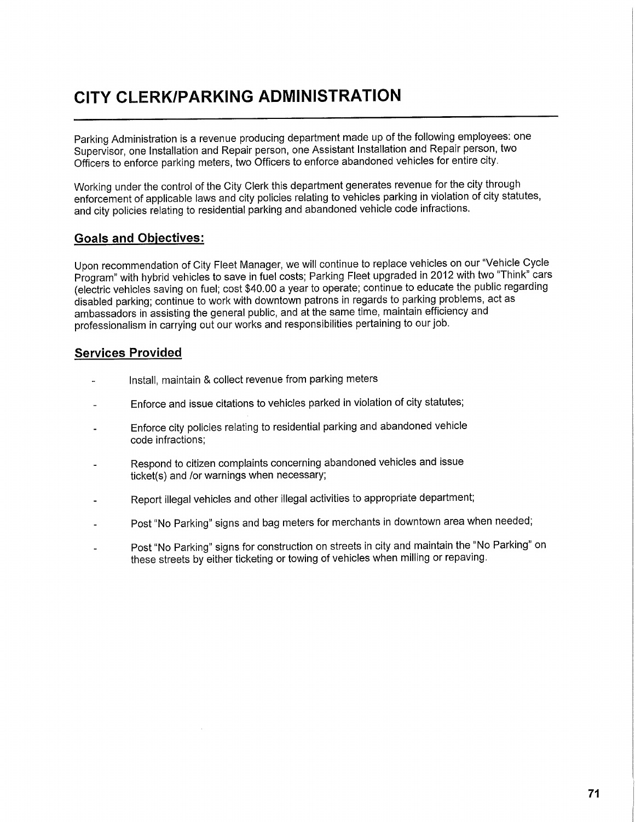## **CITY CLERK/PARKING ADMINISTRATION**

Parking Administration is a revenue producing department made up of the following employees: one Supervisor, one Installation and Repair person, one Assistant Installation and Repair person, two Officers to enforce parking meters, two Officers to enforce abandoned vehicles for entire city.

Working under the control of the City Clerk this department generates revenue for the city through enforcement of applicable laws and city policies relating to vehicles parking in violation of city statutes, and city policies relating to residential parking and abandoned vehicle code infractions.

## **Goals and Objectives:**

Upon recommendation of City Fleet Manager, we will continue to replace vehicles on our "Vehicle Cycle Program" with hybrid vehicles to save in fuel costs; Parking Fleet upgraded in 2012 with two "Think" cars (electric vehicles saving on fuel; cost \$40.00 a year to operate; continue to educate the public regarding disabled parking; continue to work with downtown patrons in regards to parking problems, act as ambassadors in assisting the general public, and at the same time, maintain efficiency and professionalism in carrying out our works and responsibilities pertaining to our job.

## **Services Provided**

- Install, maintain & collect revenue from parking meters
- Enforce and issue citations to vehicles parked in violation of city statutes;
- Enforce city policies relating to residential parking and abandoned vehicle code infractions;
- Respond to citizen complaints concerning abandoned vehicles and issue ticket(s) and /or warnings when necessary;
- Report illegal vehicles and other illegal activities to appropriate department;
- Post "No Parking" signs and bag meters for merchants in downtown area when needed;
- Post "No Parking" signs for construction on streets in city and maintain the "No Parking" on these streets by either ticketing or towing of vehicles when milling or repaying.